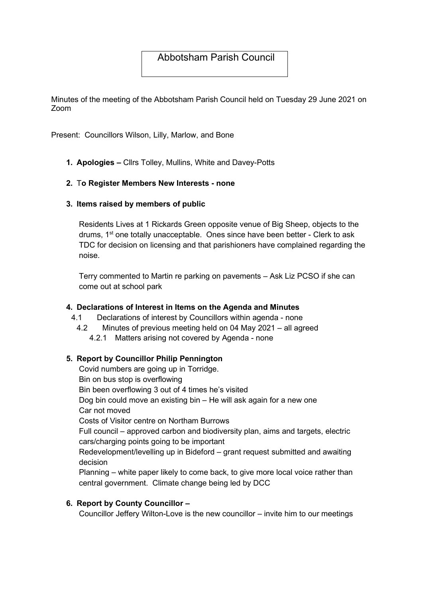# Abbotsham Parish Council

Minutes of the meeting of the Abbotsham Parish Council held on Tuesday 29 June 2021 on Zoom

Present: Councillors Wilson, Lilly, Marlow, and Bone

1. Apologies – Cllrs Tolley, Mullins, White and Davey-Potts

#### 2. To Register Members New Interests - none

#### 3. Items raised by members of public

Residents Lives at 1 Rickards Green opposite venue of Big Sheep, objects to the drums, 1<sup>st</sup> one totally unacceptable. Ones since have been better - Clerk to ask TDC for decision on licensing and that parishioners have complained regarding the noise.

Terry commented to Martin re parking on pavements – Ask Liz PCSO if she can come out at school park

#### 4. Declarations of Interest in Items on the Agenda and Minutes

- 4.1 Declarations of interest by Councillors within agenda none
	- 4.2 Minutes of previous meeting held on 04 May 2021 all agreed
		- 4.2.1 Matters arising not covered by Agenda none

#### 5. Report by Councillor Philip Pennington

Covid numbers are going up in Torridge. Bin on bus stop is overflowing Bin been overflowing 3 out of 4 times he's visited Dog bin could move an existing bin – He will ask again for a new one Car not moved Costs of Visitor centre on Northam Burrows Full council – approved carbon and biodiversity plan, aims and targets, electric cars/charging points going to be important Redevelopment/levelling up in Bideford – grant request submitted and awaiting decision Planning – white paper likely to come back, to give more local voice rather than central government. Climate change being led by DCC

#### 6. Report by County Councillor –

Councillor Jeffery Wilton-Love is the new councillor – invite him to our meetings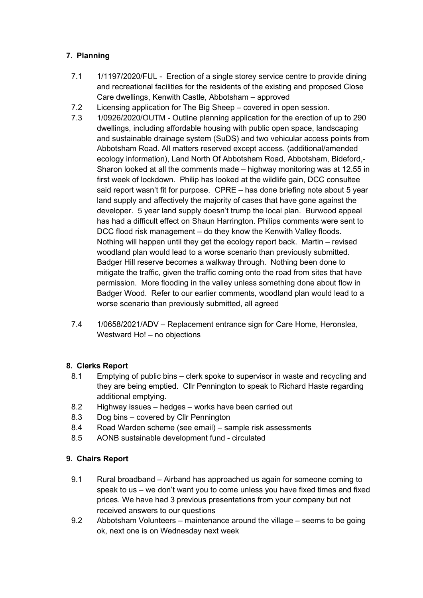### 7. Planning

- 7.1 1/1197/2020/FUL Erection of a single storey service centre to provide dining and recreational facilities for the residents of the existing and proposed Close Care dwellings, Kenwith Castle, Abbotsham – approved
- 7.2 Licensing application for The Big Sheep covered in open session.
- 7.3 1/0926/2020/OUTM Outline planning application for the erection of up to 290 dwellings, including affordable housing with public open space, landscaping and sustainable drainage system (SuDS) and two vehicular access points from Abbotsham Road. All matters reserved except access. (additional/amended ecology information), Land North Of Abbotsham Road, Abbotsham, Bideford,- Sharon looked at all the comments made – highway monitoring was at 12.55 in first week of lockdown. Philip has looked at the wildlife gain, DCC consultee said report wasn't fit for purpose. CPRE – has done briefing note about 5 year land supply and affectively the majority of cases that have gone against the developer. 5 year land supply doesn't trump the local plan. Burwood appeal has had a difficult effect on Shaun Harrington. Philips comments were sent to DCC flood risk management – do they know the Kenwith Valley floods. Nothing will happen until they get the ecology report back. Martin – revised woodland plan would lead to a worse scenario than previously submitted. Badger Hill reserve becomes a walkway through. Nothing been done to mitigate the traffic, given the traffic coming onto the road from sites that have permission. More flooding in the valley unless something done about flow in Badger Wood. Refer to our earlier comments, woodland plan would lead to a worse scenario than previously submitted, all agreed
- 7.4 1/0658/2021/ADV Replacement entrance sign for Care Home, Heronslea, Westward Ho! – no objections

### 8. Clerks Report

- 8.1 Emptying of public bins clerk spoke to supervisor in waste and recycling and they are being emptied. Cllr Pennington to speak to Richard Haste regarding additional emptying.
- 8.2 Highway issues hedges works have been carried out
- 8.3 Dog bins covered by Cllr Pennington
- 8.4 Road Warden scheme (see email) sample risk assessments
- 8.5 AONB sustainable development fund circulated

# 9. Chairs Report

- 9.1 Rural broadband Airband has approached us again for someone coming to speak to us – we don't want you to come unless you have fixed times and fixed prices. We have had 3 previous presentations from your company but not received answers to our questions
- 9.2 Abbotsham Volunteers maintenance around the village seems to be going ok, next one is on Wednesday next week